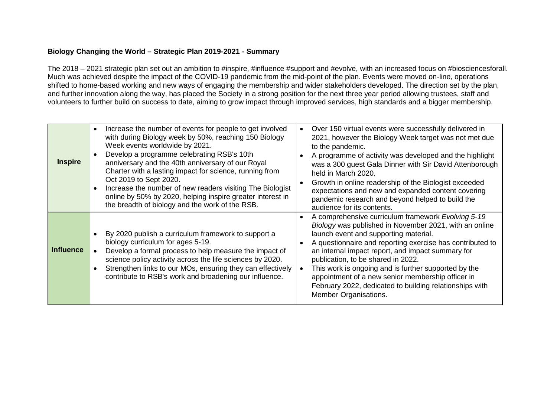## **Biology Changing the World – Strategic Plan 2019-2021 - Summary**

The 2018 – 2021 strategic plan set out an ambition to #inspire, #influence #support and #evolve, with an increased focus on #biosciencesforall. Much was achieved despite the impact of the COVID-19 pandemic from the mid-point of the plan. Events were moved on-line, operations shifted to home-based working and new ways of engaging the membership and wider stakeholders developed. The direction set by the plan, and further innovation along the way, has placed the Society in a strong position for the next three year period allowing trustees, staff and volunteers to further build on success to date, aiming to grow impact through improved services, high standards and a bigger membership.

| <b>Inspire</b>   | Increase the number of events for people to get involved<br>with during Biology week by 50%, reaching 150 Biology<br>Week events worldwide by 2021.<br>Develop a programme celebrating RSB's 10th<br>anniversary and the 40th anniversary of our Royal<br>Charter with a lasting impact for science, running from<br>Oct 2019 to Sept 2020.<br>Increase the number of new readers visiting The Biologist<br>online by 50% by 2020, helping inspire greater interest in<br>the breadth of biology and the work of the RSB. | Over 150 virtual events were successfully delivered in<br>2021, however the Biology Week target was not met due<br>to the pandemic.<br>A programme of activity was developed and the highlight<br>was a 300 guest Gala Dinner with Sir David Attenborough<br>held in March 2020.<br>Growth in online readership of the Biologist exceeded<br>expectations and new and expanded content covering<br>pandemic research and beyond helped to build the<br>audience for its contents.                              |
|------------------|---------------------------------------------------------------------------------------------------------------------------------------------------------------------------------------------------------------------------------------------------------------------------------------------------------------------------------------------------------------------------------------------------------------------------------------------------------------------------------------------------------------------------|----------------------------------------------------------------------------------------------------------------------------------------------------------------------------------------------------------------------------------------------------------------------------------------------------------------------------------------------------------------------------------------------------------------------------------------------------------------------------------------------------------------|
| <b>Influence</b> | By 2020 publish a curriculum framework to support a<br>biology curriculum for ages 5-19.<br>Develop a formal process to help measure the impact of<br>science policy activity across the life sciences by 2020.<br>Strengthen links to our MOs, ensuring they can effectively<br>contribute to RSB's work and broadening our influence.                                                                                                                                                                                   | A comprehensive curriculum framework Evolving 5-19<br>Biology was published in November 2021, with an online<br>launch event and supporting material.<br>A questionnaire and reporting exercise has contributed to<br>an internal impact report, and impact summary for<br>publication, to be shared in 2022.<br>This work is ongoing and is further supported by the<br>appointment of a new senior membership officer in<br>February 2022, dedicated to building relationships with<br>Member Organisations. |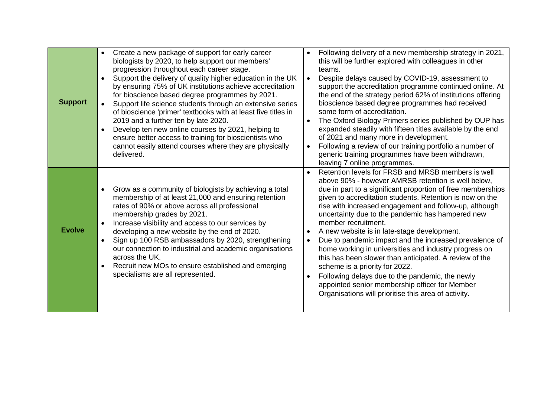| <b>Support</b> | Create a new package of support for early career<br>$\bullet$<br>biologists by 2020, to help support our members'<br>progression throughout each career stage.<br>Support the delivery of quality higher education in the UK<br>by ensuring 75% of UK institutions achieve accreditation<br>for bioscience based degree programmes by 2021.<br>Support life science students through an extensive series<br>of bioscience 'primer' textbooks with at least five titles in<br>2019 and a further ten by late 2020.<br>Develop ten new online courses by 2021, helping to<br>$\bullet$<br>ensure better access to training for bioscientists who<br>cannot easily attend courses where they are physically<br>delivered. | Following delivery of a new membership strategy in 2021,<br>this will be further explored with colleagues in other<br>teams.<br>Despite delays caused by COVID-19, assessment to<br>support the accreditation programme continued online. At<br>the end of the strategy period 62% of institutions offering<br>bioscience based degree programmes had received<br>some form of accreditation.<br>The Oxford Biology Primers series published by OUP has<br>expanded steadily with fifteen titles available by the end<br>of 2021 and many more in development.<br>Following a review of our training portfolio a number of<br>generic training programmes have been withdrawn,<br>leaving 7 online programmes.                                                                                      |
|----------------|------------------------------------------------------------------------------------------------------------------------------------------------------------------------------------------------------------------------------------------------------------------------------------------------------------------------------------------------------------------------------------------------------------------------------------------------------------------------------------------------------------------------------------------------------------------------------------------------------------------------------------------------------------------------------------------------------------------------|-----------------------------------------------------------------------------------------------------------------------------------------------------------------------------------------------------------------------------------------------------------------------------------------------------------------------------------------------------------------------------------------------------------------------------------------------------------------------------------------------------------------------------------------------------------------------------------------------------------------------------------------------------------------------------------------------------------------------------------------------------------------------------------------------------|
| <b>Evolve</b>  | Grow as a community of biologists by achieving a total<br>$\bullet$<br>membership of at least 21,000 and ensuring retention<br>rates of 90% or above across all professional<br>membership grades by 2021.<br>Increase visibility and access to our services by<br>developing a new website by the end of 2020.<br>Sign up 100 RSB ambassadors by 2020, strengthening<br>$\bullet$<br>our connection to industrial and academic organisations<br>across the UK.<br>Recruit new MOs to ensure established and emerging<br>$\bullet$<br>specialisms are all represented.                                                                                                                                                 | Retention levels for FRSB and MRSB members is well<br>above 90% - however AMRSB retention is well below,<br>due in part to a significant proportion of free memberships<br>given to accreditation students. Retention is now on the<br>rise with increased engagement and follow-up, although<br>uncertainty due to the pandemic has hampered new<br>member recruitment.<br>A new website is in late-stage development.<br>Due to pandemic impact and the increased prevalence of<br>home working in universities and industry progress on<br>this has been slower than anticipated. A review of the<br>scheme is a priority for 2022.<br>Following delays due to the pandemic, the newly<br>appointed senior membership officer for Member<br>Organisations will prioritise this area of activity. |